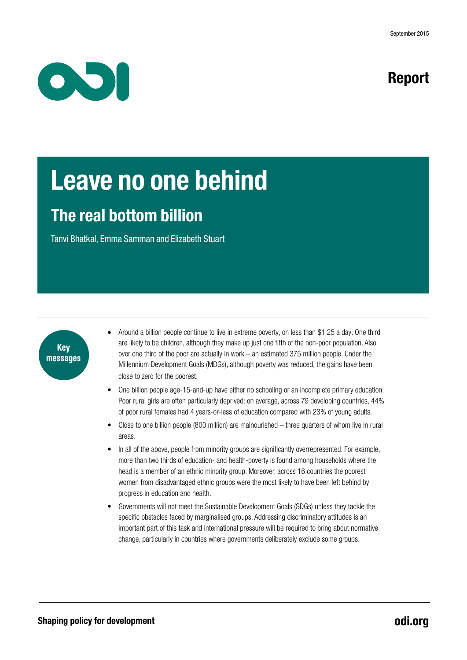

# Report

# Leave no one behind

# The real bottom billion

Tanvi Bhatkal, Emma Samman and Elizabeth Stuart



- Around a billion people continue to live in extreme poverty, on less than \$1.25 a day. One third are likely to be children, although they make up just one fifth of the non-poor population. Also over one third of the poor are actually in work – an estimated  $375$  million people. Under the Millennium Development Goals (MDGs), although poverty was reduced, the gains have been close to zero for the poorest.
- One billion people age-15-and-up have either no schooling or an incomplete primary education. Poor rural girls are often particularly deprived: on average, across 79 developing countries, 44% of poor rural females had 4 years-or-less of education compared with 23% of young adults.
- Close to one billion people (800 million) are malnourished three quarters of whom live in rural areas.
- In all of the above, people from minority groups are significantly overrepresented. For example, more than two thirds of education- and health-poverty is found among households where the head is a member of an ethnic minority group. Moreover, across 16 countries the poorest women from disadvantaged ethnic groups were the most likely to have been left behind by progress in education and health.
- Governments will not meet the Sustainable Development Goals (SDGs) unless they tackle the specific obstacles faced by marginalised groups. Addressing discriminatory attitudes is an important part of this task and international pressure will be required to bring about normative change, particularly in countries where governments deliberately exclude some groups.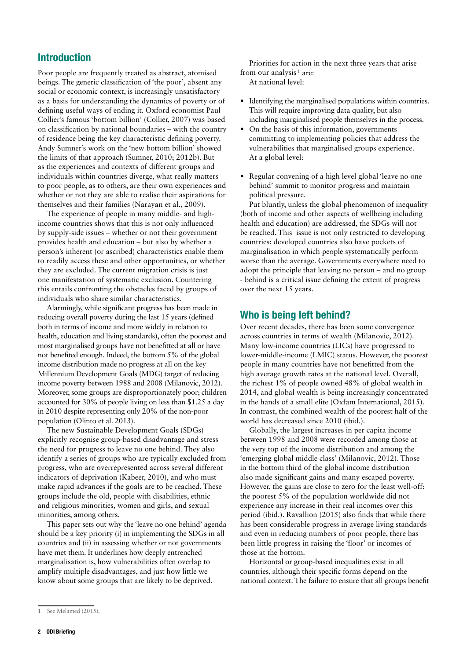## Introduction

Poor people are frequently treated as abstract, atomised beings. The generic classification of 'the poor', absent any social or economic context, is increasingly unsatisfactory as a basis for understanding the dynamics of poverty or of defining useful ways of ending it. Oxford economist Paul Collier's famous 'bottom billion' (Collier, 2007) was based on classification by national boundaries – with the country of residence being the key characteristic defining poverty. Andy Sumner's work on the 'new bottom billion' showed the limits of that approach (Sumner, 2010; 2012b). But as the experiences and contexts of different groups and individuals within countries diverge, what really matters to poor people, as to others, are their own experiences and whether or not they are able to realise their aspirations for themselves and their families (Narayan et al., 2009).

The experience of people in many middle- and highincome countries shows that this is not only influenced by supply-side issues – whether or not their government provides health and education – but also by whether a person's inherent (or ascribed) characteristics enable them to readily access these and other opportunities, or whether they are excluded. The current migration crisis is just one manifestation of systematic exclusion. Countering this entails confronting the obstacles faced by groups of individuals who share similar characteristics.

Alarmingly, while significant progress has been made in reducing overall poverty during the last 15 years (defined both in terms of income and more widely in relation to health, education and living standards), often the poorest and most marginalised groups have not benefitted at all or have not benefited enough. Indeed, the bottom 5% of the global income distribution made no progress at all on the key Millennium Development Goals (MDG) target of reducing income poverty between 1988 and 2008 (Milanovic, 2012). Moreover, some groups are disproportionately poor; children accounted for 30% of people living on less than \$1.25 a day in 2010 despite representing only 20% of the non-poor population (Olinto et al. 2013).

The new Sustainable Development Goals (SDGs) explicitly recognise group-based disadvantage and stress the need for progress to leave no one behind. They also identify a series of groups who are typically excluded from progress, who are overrepresented across several different indicators of deprivation (Kabeer, 2010), and who must make rapid advances if the goals are to be reached. These groups include the old, people with disabilities, ethnic and religious minorities, women and girls, and sexual minorities, among others.

This paper sets out why the 'leave no one behind' agenda should be a key priority (i) in implementing the SDGs in all countries and (ii) in assessing whether or not governments have met them. It underlines how deeply entrenched marginalisation is, how vulnerabilities often overlap to amplify multiple disadvantages, and just how little we know about some groups that are likely to be deprived.

Priorities for action in the next three years that arise from our analysis<sup> $1$ </sup> are: At national level:

- **•** Identifying the marginalised populations within countries. This will require improving data quality, but also including marginalised people themselves in the process.
- On the basis of this information, governments committing to implementing policies that address the vulnerabilities that marginalised groups experience. At a global level:
- **•** Regular convening of a high level global 'leave no one behind' summit to monitor progress and maintain political pressure.

Put bluntly, unless the global phenomenon of inequality (both of income and other aspects of wellbeing including health and education) are addressed, the SDGs will not be reached. This issue is not only restricted to developing countries: developed countries also have pockets of marginalisation in which people systematically perform worse than the average. Governments everywhere need to adopt the principle that leaving no person – and no group - behind is a critical issue defining the extent of progress over the next 15 years.

## Who is being left behind?

Over recent decades, there has been some convergence across countries in terms of wealth (Milanovic, 2012). Many low-income countries (LICs) have progressed to lower-middle-income (LMIC) status. However, the poorest people in many countries have not benefitted from the high average growth rates at the national level. Overall, the richest 1% of people owned 48% of global wealth in 2014, and global wealth is being increasingly concentrated in the hands of a small elite (Oxfam International, 2015). In contrast, the combined wealth of the poorest half of the world has decreased since 2010 (ibid.).

Globally, the largest increases in per capita income between 1998 and 2008 were recorded among those at the very top of the income distribution and among the 'emerging global middle class' (Milanovic, 2012). Those in the bottom third of the global income distribution also made significant gains and many escaped poverty. However, the gains are close to zero for the least well-off: the poorest 5% of the population worldwide did not experience any increase in their real incomes over this period (ibid.). Ravallion (2015) also finds that while there has been considerable progress in average living standards and even in reducing numbers of poor people, there has been little progress in raising the 'floor' or incomes of those at the bottom.

Horizontal or group-based inequalities exist in all countries, although their specific forms depend on the national context. The failure to ensure that all groups benefit

See Melamed (2015).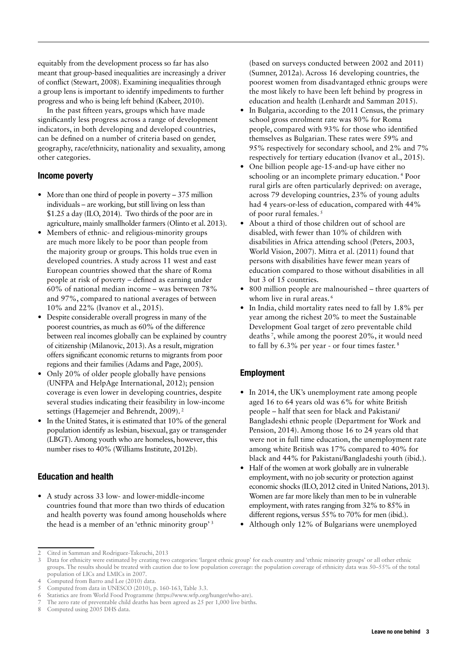equitably from the development process so far has also meant that group-based inequalities are increasingly a driver of conflict (Stewart, 2008). Examining inequalities through a group lens is important to identify impediments to further progress and who is being left behind (Kabeer, 2010).

In the past fifteen years, groups which have made significantly less progress across a range of development indicators, in both developing and developed countries, can be defined on a number of criteria based on gender, geography, race/ethnicity, nationality and sexuality, among other categories.

#### Income poverty

- More than one third of people in poverty 375 million individuals – are working, but still living on less than \$1.25 a day (ILO, 2014). Two thirds of the poor are in agriculture, mainly smallholder farmers (Olinto et al. 2013).
- **•** Members of ethnic- and religious-minority groups are much more likely to be poor than people from the majority group or groups. This holds true even in developed countries. A study across 11 west and east European countries showed that the share of Roma people at risk of poverty – defined as earning under 60% of national median income – was between 78% and 97%, compared to national averages of between 10% and 22% (Ivanov et al., 2015).
- **•** Despite considerable overall progress in many of the poorest countries, as much as 60% of the difference between real incomes globally can be explained by country of citizenship (Milanovic, 2013). As a result, migration offers significant economic returns to migrants from poor regions and their families (Adams and Page, 2005).
- **•** Only 20% of older people globally have pensions (UNFPA and HelpAge International, 2012); pension coverage is even lower in developing countries, despite several studies indicating their feasibility in low-income settings (Hagemejer and Behrendt, 2009). 2
- **•** In the United States, it is estimated that 10% of the general population identify as lesbian, bisexual, gay or transgender (LBGT). Among youth who are homeless, however, this number rises to 40% (Williams Institute, 2012b).

#### Education and health

**•** A study across 33 low- and lower-middle-income countries found that more than two thirds of education and health poverty was found among households where the head is a member of an 'ethnic minority group'<sup>3</sup>

(based on surveys conducted between 2002 and 2011) (Sumner, 2012a). Across 16 developing countries, the poorest women from disadvantaged ethnic groups were the most likely to have been left behind by progress in education and health (Lenhardt and Samman 2015).

- **•** In Bulgaria, according to the 2011 Census, the primary school gross enrolment rate was 80% for Roma people, compared with 93% for those who identified themselves as Bulgarian. These rates were 59% and 95% respectively for secondary school, and 2% and 7% respectively for tertiary education (Ivanov et al., 2015).
- **•** One billion people age-15-and-up have either no schooling or an incomplete primary education. 4 Poor rural girls are often particularly deprived: on average, across 79 developing countries, 23% of young adults had 4 years-or-less of education, compared with 44% of poor rural females. 5
- **•** About a third of those children out of school are disabled, with fewer than 10% of children with disabilities in Africa attending school (Peters, 2003, World Vision, 2007). Mitra et al. (2011) found that persons with disabilities have fewer mean years of education compared to those without disabilities in all but 3 of 15 countries.
- **•** 800 million people are malnourished three quarters of whom live in rural areas.<sup>6</sup>
- **•** In India, child mortality rates need to fall by 1.8% per year among the richest 20% to meet the Sustainable Development Goal target of zero preventable child deaths 7, while among the poorest 20%, it would need to fall by 6.3% per year - or four times faster. 8

#### Employment

- In 2014, the UK's unemployment rate among people aged 16 to 64 years old was 6% for white British people – half that seen for black and Pakistani/ Bangladeshi ethnic people ([Department for Work and](https://www.gov.uk/government/statistics/labour-market-status-by-ethnic-group) [Pension, 2014](https://www.gov.uk/government/statistics/labour-market-status-by-ethnic-group)). Among those 16 to 24 years old that were not in full time education, the unemployment rate among white British was 17% compared to 40% for black and 44% for Pakistani/Bangladeshi youth (ibid.).
- **•** Half of the women at work globally are in vulnerable employment, with no job security or protection against economic shocks (ILO, 2012 cited in United Nations, 2013). Women are far more likely than men to be in vulnerable employment, with rates ranging from 32% to 85% in different regions, versus 55% to 70% for men (ibid.).
- **•** Although only 12% of Bulgarians were unemployed

<sup>2</sup> Cited in Samman and Rodriguez-Takeuchi, 2013

<sup>3</sup> Data for ethnicity were estimated by creating two categories: 'largest ethnic group' for each country and 'ethnic minority groups' or all other ethnic groups. The results should be treated with caution due to low population coverage: the population coverage of ethnicity data was 50–55% of the total population of LICs and LMICs in 2007.

<sup>4</sup> Computed from Barro and Lee (2010) data.

Computed from data in UNESCO (2010), p. 160-163, Table 3.3.

<sup>6</sup> Statistics are from World Food Programme (https://www.wfp.org/hunger/who-are).

<sup>7</sup> The zero rate of preventable child deaths has been agreed as 25 per 1,000 live births.

Computed using 2005 DHS data.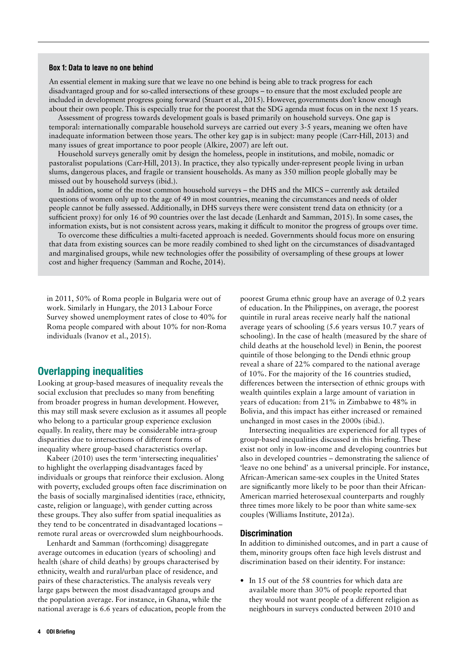#### Box 1: Data to leave no one behind

An essential element in making sure that we leave no one behind is being able to track progress for each disadvantaged group and for so-called intersections of these groups – to ensure that the most excluded people are included in development progress going forward (Stuart et al., 2015). However, governments don't know enough about their own people. This is especially true for the poorest that the SDG agenda must focus on in the next 15 years.

Assessment of progress towards development goals is based primarily on household surveys. One gap is temporal: internationally comparable household surveys are carried out every 3-5 years, meaning we often have inadequate information between those years. The other key gap is in subject: many people (Carr-Hill, 2013) and many issues of great importance to poor people (Alkire, 2007) are left out.

Household surveys generally omit by design the homeless, people in institutions, and mobile, nomadic or pastoralist populations (Carr-Hill, 2013). In practice, they also typically under-represent people living in urban slums, dangerous places, and fragile or transient households. As many as 350 million people globally may be missed out by household surveys (ibid.).

In addition, some of the most common household surveys – the DHS and the MICS – currently ask detailed questions of women only up to the age of 49 in most countries, meaning the circumstances and needs of older people cannot be fully assessed. Additionally, in DHS surveys there were consistent trend data on ethnicity (or a sufficient proxy) for only 16 of 90 countries over the last decade (Lenhardt and Samman, 2015). In some cases, the information exists, but is not consistent across years, making it difficult to monitor the progress of groups over time.

To overcome these difficulties a multi-faceted approach is needed. Governments should focus more on ensuring that data from existing sources can be more readily combined to shed light on the circumstances of disadvantaged and marginalised groups, while new technologies offer the possibility of oversampling of these groups at lower cost and higher frequency (Samman and Roche, 2014).

in 2011, 50% of Roma people in Bulgaria were out of work. Similarly in Hungary, the 2013 Labour Force Survey showed unemployment rates of close to 40% for Roma people compared with about 10% for non-Roma individuals (Ivanov et al., 2015).

### Overlapping inequalities

Looking at group-based measures of inequality reveals the social exclusion that precludes so many from benefiting from broader progress in human development. However, this may still mask severe exclusion as it assumes all people who belong to a particular group experience exclusion equally. In reality, there may be considerable intra-group disparities due to intersections of different forms of inequality where group-based characteristics overlap.

Kabeer (2010) uses the term 'intersecting inequalities' to highlight the overlapping disadvantages faced by individuals or groups that reinforce their exclusion. Along with poverty, excluded groups often face discrimination on the basis of socially marginalised identities (race, ethnicity, caste, religion or language), with gender cutting across these groups. They also suffer from spatial inequalities as they tend to be concentrated in disadvantaged locations – remote rural areas or overcrowded slum neighbourhoods.

Lenhardt and Samman (forthcoming) disaggregate average outcomes in education (years of schooling) and health (share of child deaths) by groups characterised by ethnicity, wealth and rural/urban place of residence, and pairs of these characteristics. The analysis reveals very large gaps between the most disadvantaged groups and the population average. For instance, in Ghana, while the national average is 6.6 years of education, people from the

poorest Gruma ethnic group have an average of 0.2 years of education. In the Philippines, on average, the poorest quintile in rural areas receive nearly half the national average years of schooling (5.6 years versus 10.7 years of schooling). In the case of health (measured by the share of child deaths at the household level) in Benin, the poorest quintile of those belonging to the Dendi ethnic group reveal a share of 22% compared to the national average of 10%. For the majority of the 16 countries studied, differences between the intersection of ethnic groups with wealth quintiles explain a large amount of variation in years of education: from 21% in Zimbabwe to 48% in Bolivia, and this impact has either increased or remained unchanged in most cases in the 2000s (ibid.).

Intersecting inequalities are experienced for all types of group-based inequalities discussed in this briefing. These exist not only in low-income and developing countries but also in developed countries – demonstrating the salience of 'leave no one behind' as a universal principle. For instance, African-American same-sex couples in the United States are significantly more likely to be poor than their African-American married heterosexual counterparts and roughly three times more likely to be poor than white same-sex couples ([Williams Institute, 2012](http://williamsinstitute.law.ucla.edu/headlines/beyond-stereotypes-poverty-in-the-lgbt-community/)a).

#### **Discrimination**

In addition to diminished outcomes, and in part a cause of them, minority groups often face high levels distrust and discrimination based on their identity. For instance:

**•** In 15 out of the 58 countries for which data are available more than 30% of people reported that they would not want people of a different religion as neighbours in surveys conducted between 2010 and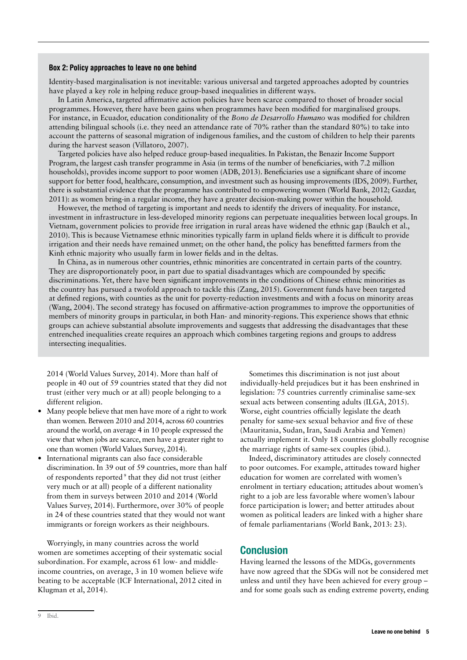#### Box 2: Policy approaches to leave no one behind

Identity-based marginalisation is not inevitable: various universal and targeted approaches adopted by countries have played a key role in helping reduce group-based inequalities in different ways.

In Latin America, targeted affirmative action policies have been scarce compared to thoset of broader social programmes. However, there have been gains when programmes have been modified for marginalised groups. For instance, in Ecuador, education conditionality of the *Bono de Desarrollo Humano* was modified for children attending bilingual schools (i.e. they need an attendance rate of 70% rather than the standard 80%) to take into account the patterns of seasonal migration of indigenous families, and the custom of children to help their parents during the harvest season (Villatoro, 2007).

Targeted policies have also helped reduce group-based inequalities. In Pakistan, the Benazir Income Support Program, the largest cash transfer programme in Asia (in terms of the number of beneficiaries, with 7.2 million households), provides income support to poor women (ADB, 2013). Beneficiaries use a significant share of income support for better food, healthcare, consumption, and investment such as housing improvements (IDS, 2009). Further, there is substantial evidence that the programme has contributed to empowering women (World Bank, 2012; Gazdar, 2011): as women bring-in a regular income, they have a greater decision-making power within the household.

However, the method of targeting is important and needs to identify the drivers of inequality. For instance, investment in infrastructure in less-developed minority regions can perpetuate inequalities between local groups. In Vietnam, government policies to provide free irrigation in rural areas have widened the ethnic gap (Baulch et al., 2010). This is because Vietnamese ethnic minorities typically farm in upland fields where it is difficult to provide irrigation and their needs have remained unmet; on the other hand, the policy has benefitted farmers from the Kinh ethnic majority who usually farm in lower fields and in the deltas.

In China, as in numerous other countries, ethnic minorities are concentrated in certain parts of the country. They are disproportionately poor, in part due to spatial disadvantages which are compounded by specific discriminations. Yet, there have been significant improvements in the conditions of Chinese ethnic minorities as the country has pursued a twofold approach to tackle this (Zang, 2015). Government funds have been targeted at defined regions, with counties as the unit for poverty-reduction investments and with a focus on minority areas (Wang, 2004). The second strategy has focused on affirmative-action programmes to improve the opportunities of members of minority groups in particular, in both Han- and minority-regions. This experience shows that ethnic groups can achieve substantial absolute improvements and suggests that addressing the disadvantages that these entrenched inequalities create requires an approach which combines targeting regions and groups to address intersecting inequalities.

2014 (World Values Survey, 2014). More than half of people in 40 out of 59 countries stated that they did not trust (either very much or at all) people belonging to a different religion.

- **•** Many people believe that men have more of a right to work than women. Between 2010 and 2014, across 60 countries around the world, on average 4 in 10 people expressed the view that when jobs are scarce, men have a greater right to one than women (World Values Survey, 2014).
- **•** International migrants can also face considerable discrimination. In 39 out of 59 countries, more than half of respondents reported 9 that they did not trust (either very much or at all) people of a different nationality from them in surveys between 2010 and 2014 (World Values Survey, 2014). Furthermore, over 30% of people in 24 of these countries stated that they would not want immigrants or foreign workers as their neighbours.

Worryingly, in many countries across the world women are sometimes accepting of their systematic social subordination. For example, across 61 low- and middleincome countries, on average, 3 in 10 women believe wife beating to be acceptable (ICF International, 2012 cited in Klugman et al, 2014).

Sometimes this discrimination is not just about individually-held prejudices but it has been enshrined in legislation: 75 countries currently criminalise same-sex sexual acts between consenting adults ([ILGA, 2015\)](http://old.ilga.org/Statehomophobia/ILGA_State_Sponsored_Homophobia_2015.pdf). Worse, eight countries officially legislate the death penalty for same-sex sexual behavior and five of these (Mauritania, Sudan, Iran, Saudi Arabia and Yemen) actually implement it. Only 18 countries globally recognise the marriage rights of same-sex couples (ibid.).

Indeed, discriminatory attitudes are closely connected to poor outcomes. For example, attitudes toward higher education for women are correlated with women's enrolment in tertiary education; attitudes about women's right to a job are less favorable where women's labour force participation is lower; and better attitudes about women as political leaders are linked with a higher share of female parliamentarians (World Bank, 2013: 23).

#### Conclusion

Having learned the lessons of the MDGs, governments have now agreed that the SDGs will not be considered met unless and until they have been achieved for every group – and for some goals such as ending extreme poverty, ending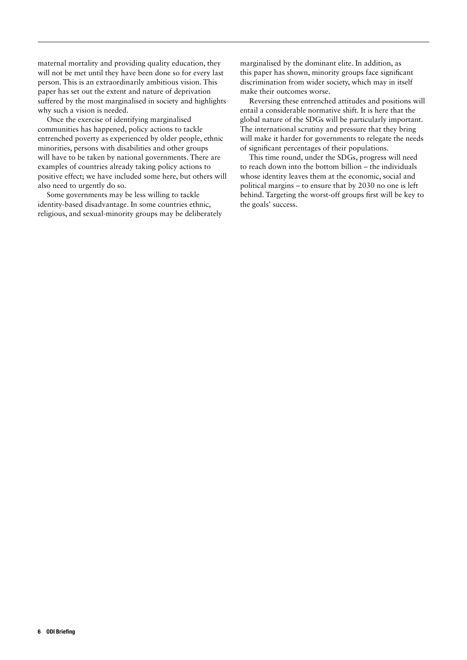maternal mortality and providing quality education, they will not be met until they have been done so for every last person. This is an extraordinarily ambitious vision. This paper has set out the extent and nature of deprivation suffered by the most marginalised in society and highlights why such a vision is needed.

Once the exercise of identifying marginalised communities has happened, policy actions to tackle entrenched poverty as experienced by older people, ethnic minorities, persons with disabilities and other groups will have to be taken by national governments. There are examples of countries already taking policy actions to positive effect; we have included some here, but others will also need to urgently do so.

Some governments may be less willing to tackle identity-based disadvantage. In some countries ethnic, religious, and sexual-minority groups may be deliberately marginalised by the dominant elite. In addition, as this paper has shown, minority groups face significant discrimination from wider society, which may in itself make their outcomes worse.

Reversing these entrenched attitudes and positions will entail a considerable normative shift. It is here that the global nature of the SDGs will be particularly important. The international scrutiny and pressure that they bring will make it harder for governments to relegate the needs of significant percentages of their populations.

This time round, under the SDGs, progress will need to reach down into the bottom billion – the individuals whose identity leaves them at the economic, social and political margins – to ensure that by 2030 no one is left behind. Targeting the worst-off groups first will be key to the goals' success.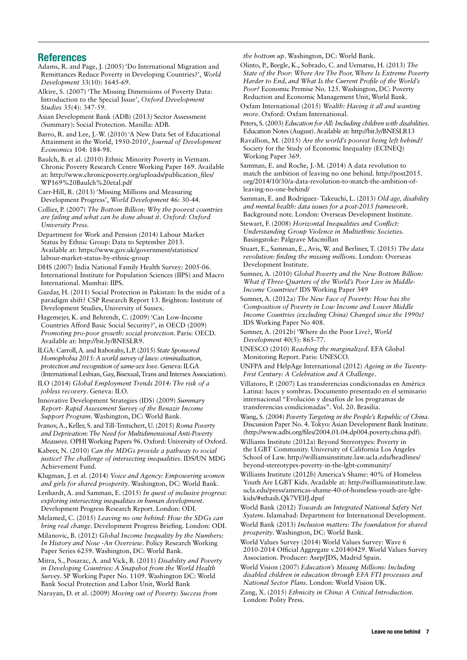#### References

Adams, R. and Page, J. (2005) 'Do International Migration and Remittances Reduce Poverty in Developing Countries?', *World Development* 33(10): 1645-69.

Alkire, S. (2007) 'The Missing Dimensions of Poverty Data: Introduction to the Special Issue', *Oxford Development Studies* 35(4): 347-59.

Asian Development Bank (ADB) (2013) Sector Assessment (Summary): Social Protection. Manilla: ADB.

Barro, R. and Lee, J.-W. (2010) 'A New Data Set of Educational Attainment in the World, 1950-2010', *Journal of Development Economics* 104: 184-98.

Baulch, B. et al. (2010) Ethnic Minority Poverty in Vietnam. Chronic Poverty Research Centre Working Paper 169. Available at: [http://www.chronicpoverty.org/uploads/publication\\_files/](http://www.chronicpoverty.org/uploads/publication_files/WP169%20Baulch%20etal.pdf) [WP169%20Baulch%20etal.pdf](http://www.chronicpoverty.org/uploads/publication_files/WP169%20Baulch%20etal.pdf)

Carr-Hill, R. (2013) 'Missing Millions and Measuring Development Progress', *World Development* 46: 30-44.

Collier, P. (2007) *The Bottom Billion: Why the poorest countries are failing and what can be done about it*. *Oxford: Oxford University Press.* 

Department for Work and Pension (2014) Labour Market Status by Ethnic Group: Data to September 2013. Available at: [https://www.gov.uk/government/statistics/](https://www.gov.uk/government/statistics/labour-market-status-by-ethnic-group) [labour-market-status-by-ethnic-group](https://www.gov.uk/government/statistics/labour-market-status-by-ethnic-group)

DHS (2007) India National Family Health Survey: 2005-06. International Institute for Population Sciences (IIPS) and Macro International. Mumbai: IIPS.

Gazdar, H. (2011) Social Protection in Pakistan: In the midst of a paradigm shift? CSP Research Report 13. Brighton: Institute of Development Studies, University of Sussex.

Hagemejer, K. and Behrendt, C. (2009) 'Can Low-Income Countries Afford Basic Social Security?', in OECD (2009) *Promoting pro-poor growth: social protection*. Paris: OECD. Available at:<http://bit.ly/BNESLR9>.

ILGA: Carroll, A. and Itaborahy, L.P. (2015) *State Sponsored Homophobia 2015: A world survey of laws: criminalisation, protection and recognition of same-sex love*. Geneva: ILGA (International Lesbian, Gay, Bisexual, Trans and Intersex Association).

ILO (2014) *Global Employment Trends 2014: The risk of a jobless recovery*. Geneva: ILO.

Innovative Development Strategies (IDS) (2009) *Summary Report- Rapid Assessment Survey of the Benazir Income Support Program*. Washington, DC: World Bank.

Ivanov, A., Keller, S. and Till-Tentschert, U. (2015) *Roma Poverty and Deprivation: The Need for Multidimensional Anti-Poverty Measures*. OPHI Working Papers 96. Oxford: University of Oxford.

Kabeer, N. (2010) *Can the MDGs provide a pathway to social justice? The challenge of intersecting inequalities*. IDS/UN MDG Achievement Fund.

Klugman, J. et al. (2014) *Voice and Agency: Empowering women and girls for shared prosperity*. Washington, DC: World Bank.

Lenhardt, A. and Samman, E. (2015) *In quest of inclusive progress: exploring intersecting inequalities in human development*. Development Progress Research Report. London: ODI.

Melamed, C. (2015) *Leaving no one behind: How the SDGs can bring real change*. Development Progress Briefing. London: ODI.

Milanovic, B. (2012) *Global Income Inequality by the Numbers: In History and Now -An Overview*. Policy Research Working Paper Series 6259. Washington, DC: World Bank.

Mitra, S., Posarac, A. and Vick, B. (2011) *Disability and Poverty in Developing Countries: A Snapshot from the World Health Survey*. SP Working Paper No. 1109. Washington DC: World Bank Social Protection and Labor Unit, World Bank

Narayan, D. et al. (2009) *Moving out of Poverty: Success from* 

*the bottom up*. Washington, DC: World Bank.

Olinto, P., Beegle, K., Sobrado, C. and Uematsu, H. (2013) *The State of the Poor: Where Are The Poor, Where Is Extreme Poverty Harder to End, and What Is the Current Profile of the World's Poor?* Economic Premise No. 125. Washington, DC: Poverty Reduction and Economic Management Unit, World Bank.

Oxfam International (2015) *Wealth: Having it all and wanting more*. Oxford: Oxfam International.

Peters, S. (2003) *Education for All: Including children with disabilities*. Education Notes (August). Available at: http://bit.ly/BNESLR13

Ravallion, M. (2015) *Are the world's poorest being left behind?* Society for the Study of Economic Inequality (ECINEQ) Working Paper 369.

Samman, E. and Roche, J.-M. (2014) A data revolution to match the ambition of leaving no one behind. [http://post2015.](http://post2015.org/2014/10/30/a-data-revolution-to-match-the-ambition-of-leaving-no-one-behind/) [org/2014/10/30/a-data-revolution-to-match-the-ambition-of](http://post2015.org/2014/10/30/a-data-revolution-to-match-the-ambition-of-leaving-no-one-behind/)[leaving-no-one-behind/](http://post2015.org/2014/10/30/a-data-revolution-to-match-the-ambition-of-leaving-no-one-behind/)

Samman, E. and Rodriguez- Takeuchi, L. (2013) *Old age, disability and mental health: data issues for a post-2015 framework*. Background note. London: Overseas Development Institute.

Stewart, F. (2008) *Horizontal Inequalities and Conflict: Understanding Group Violence in Multiethnic Societies.* Basingstoke: Palgrave Macmillan

Stuart, E., Samman, E., Avis, W. and Berliner, T. (2015) *The data revolution: finding the missing millions*. London: Overseas Development Institute.

Sumner, A. (2010) *Global Poverty and the New Bottom Billion: What if Three-Quarters of the World's Poor Live in Middle-Income Countries?* IDS Working Paper 349

Sumner, A. (2012a) *The New Face of Poverty: How has the Composition of Poverty in Low Income and Lower Middle Income Countries (excluding China) Changed since the 1990s?* IDS Working Paper No 408.

Sumner, A. (2012b) 'Where do the Poor Live?, *World Development* 40(5): 865-77.

UNESCO (2010) *Reaching the marginalized*. EFA Global Monitoring Report. Paris: UNESCO.

UNFPA and HelpAge International (2012) *Ageing in the Twenty-First Century: A Celebration and A Challenge*.

Villatoro, P. (2007) Las transferencias condicionadas en América Latina: luces y sombras. Documento presentado en el seminario internacional "Evolución y desafíos de los programas de transferencias condicionadas". Vol. 20. Brasilia.

Wang, S. (2004) *Poverty Targeting in the People's Republic of China*. Discussion Paper No. 4. Tokyo: Asian Development Bank Institute. [\(http://www.adbi.org/files/2004.01.04.dp004.poverty.china.pdf](http://www.adbi.org/files/2004.01.04.dp004.poverty.china.pdf)).

[Williams Institute \(2012](http://williamsinstitute.law.ucla.edu/headlines/beyond-stereotypes-poverty-in-the-lgbt-community/)a) Beyond Stereotypes: Poverty in the LGBT Community. University of California Los Angeles School of Law. [http://williamsinstitute.law.ucla.edu/headlines/](http://williamsinstitute.law.ucla.edu/headlines/beyond-stereotypes-poverty-in-the-lgbt-community/) [beyond-stereotypes-poverty-in-the-lgbt-community/](http://williamsinstitute.law.ucla.edu/headlines/beyond-stereotypes-poverty-in-the-lgbt-community/)

Williams Institute (2012b) America's Shame: 40% of Homeless Youth Are LGBT Kids. Available at: [http://williamsinstitute.law.](http://williamsinstitute.law.ucla.edu/press/americas-shame-40-of-homeless-youth-are-lgbt-kids/%22 \l %22sthash.Qk7VElfJ.dpuf) [ucla.edu/press/americas-shame-40-of-homeless-youth-are-lgbt](http://williamsinstitute.law.ucla.edu/press/americas-shame-40-of-homeless-youth-are-lgbt-kids/%22 \l %22sthash.Qk7VElfJ.dpuf)[kids/#sthash.Qk7VElfJ.dpuf](http://williamsinstitute.law.ucla.edu/press/americas-shame-40-of-homeless-youth-are-lgbt-kids/%22 \l %22sthash.Qk7VElfJ.dpuf)

World Bank (2012) *Towards an Integrated National Safety Net System*. Islamabad: Department for International Development.

World Bank (2013) *Inclusion matters: The foundation for shared prosperity*. Washington, DC: World Bank.

World Values Survey (2014) World Values Survey: Wave 6 2010-2014 Official Aggregate v.20140429. World Values Survey Association. Producer: Asep/JDS, Madrid Spain.

World Vision (2007) *Education's Missing Millions: Including disabled children in education through EFA FTI processes and National Sector Plans*. London: World Vision UK.

Zang, X. (2015) *Ethnicity in China: A Critical Introduction*. London: Polity Press.